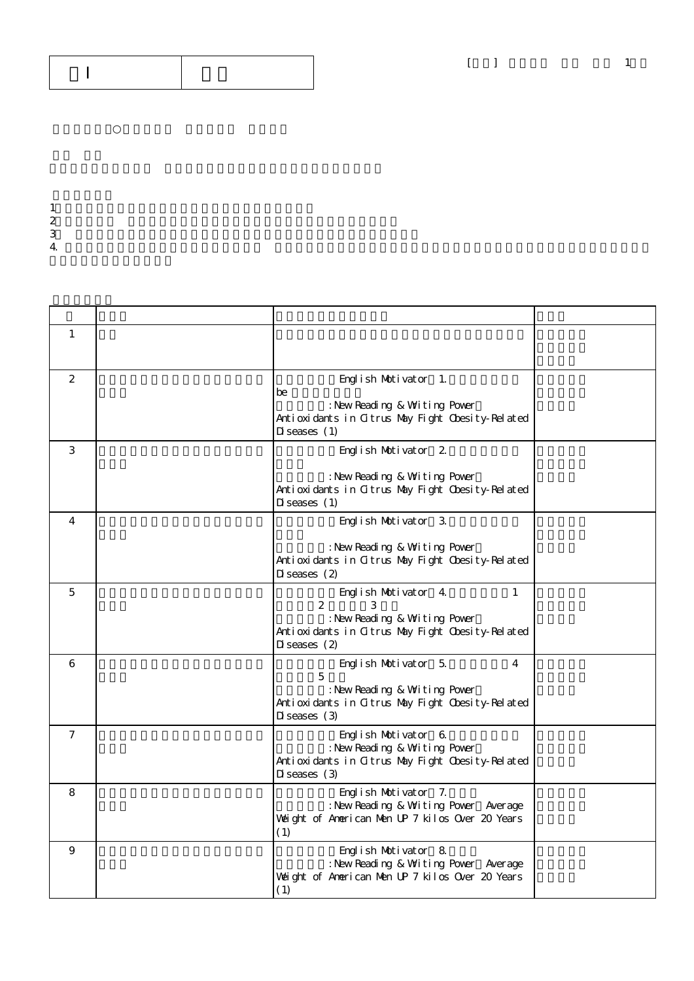$1$  $2 \angle$  $3$  $4.$ 

| 1              |                                                                                                                                                           |  |
|----------------|-----------------------------------------------------------------------------------------------------------------------------------------------------------|--|
| 2              | English Motivator 1.<br>be<br>: New Reading & Witing Pover<br>Antioxidants in Citrus May Fight Chesity-Related<br>$D$ i seases $(1)$                      |  |
| 3              | English Motivator 2.<br>: New Reading & Writing Pover<br>Antioxidants in Citrus May Fight Cbesity-Related<br>$D$ i seases $(1)$                           |  |
| 4              | English Motivator 3.<br>: New Reading & Writing Pover<br>Antioxidants in Citrus May Fight Chesity-Related<br>$Di$ seases $(2)$                            |  |
| 5              | $\mathbf{1}$<br>English Motivator 4.<br>2<br>3<br>: New Reading & Writing Pover<br>Antioxidants in Citrus May Fight Chesity-Related<br>$D$ i seases $(2)$ |  |
| 6              | English Motivator 5.<br>4<br>5<br>: New Reading & Witing Pover<br>Antioxidants in Citrus May Fight Cbesity-Related<br>$Di$ seases $(3)$                   |  |
| $\overline{7}$ | English Motivator 6.<br>: New Reading & Writing Pover<br>Antioxidants in Citrus May Fight Cbesity-Related<br>$Di$ seases $(3)$                            |  |
| 8              | English Motivator 7.<br>: New Reading & Writing Power Average<br>Weight of American Men UP 7 kilos Over 20 Years<br>(1)                                   |  |
| 9              | English Motivator 8.<br>: New Reading & Writing Pover Average<br>Weight of American Men UP 7 kilos Over 20 Years<br>(1)                                   |  |